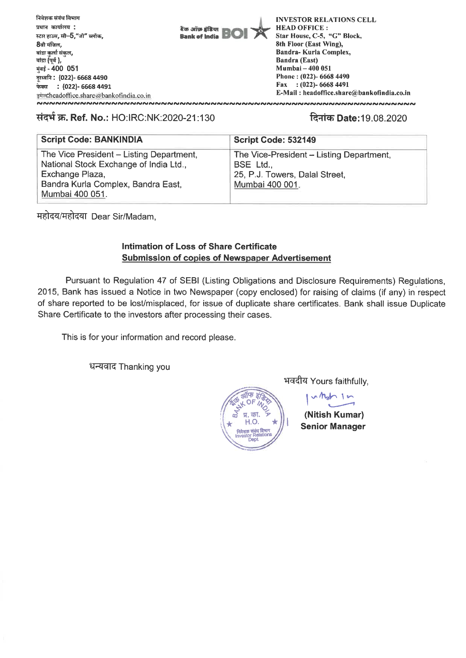

### **Ref. No.: HO:IRC:NK:2020-21:130 qlich Date:19.08.2020**

| <b>Script Code: BANKINDIA</b>                                                      | Script Code: 532149                                 |
|------------------------------------------------------------------------------------|-----------------------------------------------------|
| The Vice President - Listing Department,<br>National Stock Exchange of India Ltd., | The Vice-President - Listing Department,<br>BSE Ltd |
| Exchange Plaza,<br>Bandra Kurla Complex, Bandra East,<br>Mumbai 400 051.           | 25, P.J. Towers, Dalal Street,<br>Mumbai 400 001.   |

महोदय/महोदया Dear Sir/Madam,

## **Intimation of Loss of Share Certificate Submission of copies of Newspaper Advertisement**

Pursuant to Regulation 47 of SEBI (Listing Obligations and Disclosure Requirements) Regulations, 2015, Bank has issued a Notice in two Newspaper (copy enclosed) for raising of claims (if any) in respect of share reported to be lost/misplaced, for issue of duplicate share certificates. Bank shall issue Duplicate Share Certificate to the investors after processing their cases.

This is for your information and record please.

धन्यवाद Thanking you



भवदीय Yours faithfully,

**(Nitish Kumar) Senior Manager**